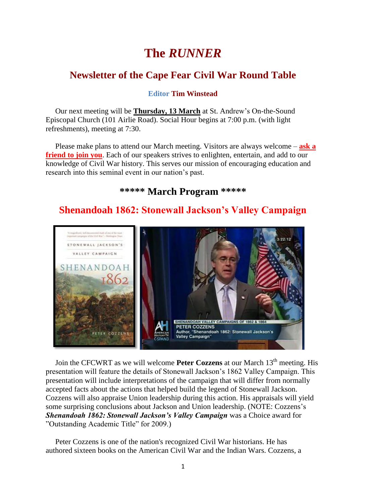# **The** *RUNNER*

# **Newsletter of the Cape Fear Civil War Round Table**

**Editor Tim Winstead**

 Our next meeting will be **Thursday, 13 March** at St. Andrew's On-the-Sound Episcopal Church (101 Airlie Road). Social Hour begins at 7:00 p.m. (with light refreshments), meeting at 7:30.

 Please make plans to attend our March meeting. Visitors are always welcome – **ask a friend to join you**. Each of our speakers strives to enlighten, entertain, and add to our knowledge of Civil War history. This serves our mission of encouraging education and research into this seminal event in our nation's past.

### **\*\*\*\*\* March Program \*\*\*\*\***

# **Shenandoah 1862: Stonewall Jackson's Valley Campaign**



Join the CFCWRT as we will welcome **Peter Cozzens** at our March 13<sup>th</sup> meeting. His presentation will feature the details of Stonewall Jackson's 1862 Valley Campaign. This presentation will include interpretations of the campaign that will differ from normally accepted facts about the actions that helped build the legend of Stonewall Jackson. Cozzens will also appraise Union leadership during this action. His appraisals will yield some surprising conclusions about Jackson and Union leadership. (NOTE: Cozzens's *Shenandoah 1862: Stonewall Jackson's Valley Campaign* was a Choice award for "Outstanding Academic Title" for 2009.)

 Peter Cozzens is one of the nation's recognized Civil War historians. He has authored sixteen books on the American Civil War and the Indian Wars. Cozzens, a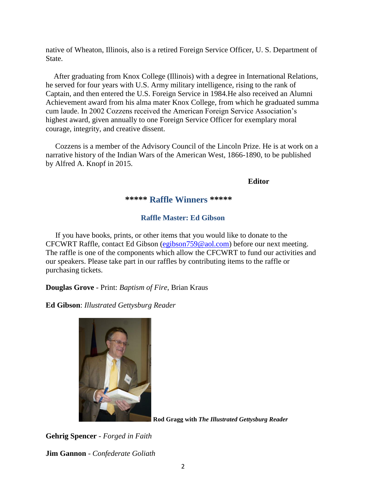native of Wheaton, Illinois, also is a retired Foreign Service Officer, U. S. Department of State.

 After graduating from Knox College (Illinois) with a degree in International Relations, he served for four years with U.S. Army military intelligence, rising to the rank of Captain, and then entered the U.S. Foreign Service in 1984.He also received an Alumni Achievement award from his alma mater Knox College, from which he graduated summa cum laude. In 2002 Cozzens received the American Foreign Service Association's highest award, given annually to one Foreign Service Officer for exemplary moral courage, integrity, and creative dissent.

 Cozzens is a member of the Advisory Council of the Lincoln Prize. He is at work on a narrative history of the Indian Wars of the American West, 1866-1890, to be published by Alfred A. Knopf in 2015.

**Editor**

**\*\*\*\*\* Raffle Winners \*\*\*\*\***

#### **Raffle Master: Ed Gibson**

If you have books, prints, or other items that you would like to donate to the CFCWRT Raffle, contact Ed Gibson [\(egibson759@aol.com\)](mailto:egibson759@aol.com) before our next meeting. The raffle is one of the components which allow the CFCWRT to fund our activities and our speakers. Please take part in our raffles by contributing items to the raffle or purchasing tickets.

**Douglas Grove** - Print: *Baptism of Fire*, Brian Kraus

**Ed Gibson**: *Illustrated Gettysburg Reader*



**Rod Gragg with** *The Illustrated Gettysburg Reader*

**Gehrig Spencer** - *Forged in Faith*

**Jim Gannon** - *Confederate Goliath*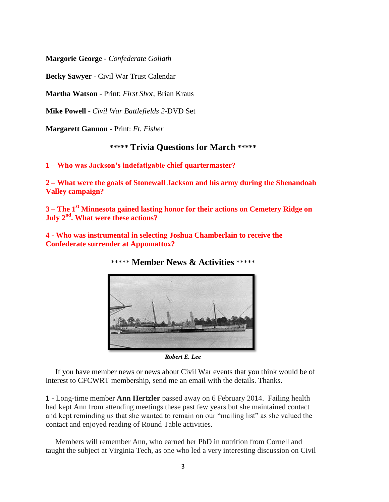**Margorie George** - *Confederate Goliath*

**Becky Sawyer** - Civil War Trust Calendar

**Martha Watson** - Print: *First Shot*, Brian Kraus

**Mike Powell** - *Civil War Battlefields 2*-DVD Set

**Margarett Gannon** - Print: *Ft. Fisher*

### **\*\*\*\*\* Trivia Questions for March \*\*\*\*\***

**1 – Who was Jackson's indefatigable chief quartermaster?** 

**2 – What were the goals of Stonewall Jackson and his army during the Shenandoah Valley campaign?**

**3 – The 1st Minnesota gained lasting honor for their actions on Cemetery Ridge on July 2nd. What were these actions?** 

**4 - Who was instrumental in selecting Joshua Chamberlain to receive the Confederate surrender at Appomattox?** 



\*\*\*\*\* **Member News & Activities** \*\*\*\*\*

*Robert E. Lee*

 If you have member news or news about Civil War events that you think would be of interest to CFCWRT membership, send me an email with the details. Thanks.

**1 -** Long-time member **Ann Hertzler** passed away on 6 February 2014. Failing health had kept Ann from attending meetings these past few years but she maintained contact and kept reminding us that she wanted to remain on our "mailing list" as she valued the contact and enjoyed reading of Round Table activities.

 Members will remember Ann, who earned her PhD in nutrition from Cornell and taught the subject at Virginia Tech, as one who led a very interesting discussion on Civil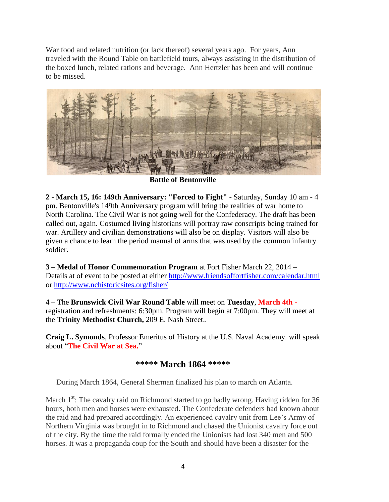War food and related nutrition (or lack thereof) several years ago. For years, Ann traveled with the Round Table on battlefield tours, always assisting in the distribution of the boxed lunch, related rations and beverage. Ann Hertzler has been and will continue to be missed.



**Battle of Bentonville** 

**2 - March 15, 16: 149th Anniversary: "Forced to Fight"** - Saturday, Sunday 10 am - 4 pm. Bentonville's 149th Anniversary program will bring the realities of war home to North Carolina. The Civil War is not going well for the Confederacy. The draft has been called out, again. Costumed living historians will portray raw conscripts being trained for war. Artillery and civilian demonstrations will also be on display. Visitors will also be given a chance to learn the period manual of arms that was used by the common infantry soldier.

**3 – Medal of Honor Commemoration Program** at Fort Fisher March 22, 2014 – Details at of event to be posted at either<http://www.friendsoffortfisher.com/calendar.html> or<http://www.nchistoricsites.org/fisher/>

**4 –** The **Brunswick Civil War Round Table** will meet on **Tuesday**, **March 4th**  registration and refreshments: 6:30pm. Program will begin at 7:00pm. They will meet at the **Trinity Methodist Church,** 209 E. Nash Street..

**Craig L. Symonds**, Professor Emeritus of History at the U.S. Naval Academy. will speak about "**The Civil War at Sea.**"

### **\*\*\*\*\* March 1864 \*\*\*\*\***

During March 1864, General Sherman finalized his plan to march on Atlanta.

March  $1<sup>st</sup>$ : The cavalry raid on Richmond started to go badly wrong. Having ridden for 36 hours, both men and horses were exhausted. The Confederate defenders had known about the raid and had prepared accordingly. An experienced cavalry unit from Lee's Army of Northern Virginia was brought in to Richmond and chased the Unionist cavalry force out of the city. By the time the raid formally ended the Unionists had lost 340 men and 500 horses. It was a propaganda coup for the South and should have been a disaster for the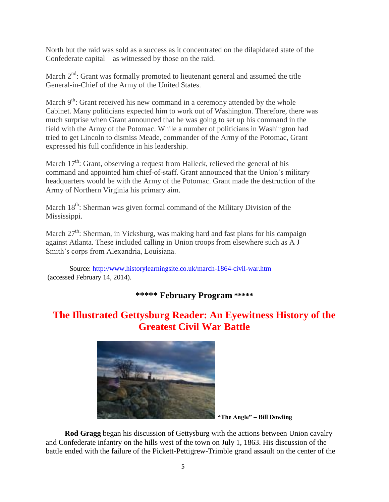North but the raid was sold as a success as it concentrated on the dilapidated state of the Confederate capital – as witnessed by those on the raid.

March  $2<sup>nd</sup>$ : Grant was formally promoted to lieutenant general and assumed the title General-in-Chief of the Army of the United States.

March  $9<sup>th</sup>$ : Grant received his new command in a ceremony attended by the whole Cabinet. Many politicians expected him to work out of Washington. Therefore, there was much surprise when Grant announced that he was going to set up his command in the field with the Army of the Potomac. While a number of politicians in Washington had tried to get Lincoln to dismiss Meade, commander of the Army of the Potomac, Grant expressed his full confidence in his leadership.

March  $17<sup>th</sup>$ : Grant, observing a request from Halleck, relieved the general of his command and appointed him chief-of-staff. Grant announced that the Union's military headquarters would be with the Army of the Potomac. Grant made the destruction of the Army of Northern Virginia his primary aim.

March  $18<sup>th</sup>$ : Sherman was given formal command of the Military Division of the Mississippi.

March  $27<sup>th</sup>$ : Sherman, in Vicksburg, was making hard and fast plans for his campaign against Atlanta. These included calling in Union troops from elsewhere such as A J Smith's corps from Alexandria, Louisiana.

Source:<http://www.historylearningsite.co.uk/march-1864-civil-war.htm> (accessed February 14, 2014).

### **\*\*\*\*\* February Program \*\*\*\*\***

# **The Illustrated Gettysburg Reader: An Eyewitness History of the Greatest Civil War Battle**



**"The Angle" – Bill Dowling**

 **Rod Gragg** began his discussion of Gettysburg with the actions between Union cavalry and Confederate infantry on the hills west of the town on July 1, 1863. His discussion of the battle ended with the failure of the Pickett-Pettigrew-Trimble grand assault on the center of the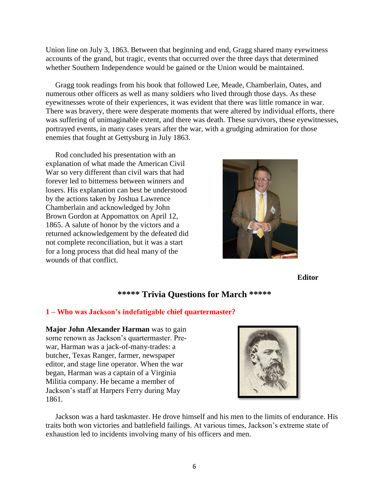Union line on July 3, 1863. Between that beginning and end, Gragg shared many eyewitness accounts of the grand, but tragic, events that occurred over the three days that determined whether Southern Independence would be gained or the Union would be maintained.

 Gragg took readings from his book that followed Lee, Meade, Chamberlain, Oates, and numerous other officers as well as many soldiers who lived through those days. As these eyewitnesses wrote of their experiences, it was evident that there was little romance in war. There was bravery, there were desperate moments that were altered by individual efforts, there was suffering of unimaginable extent, and there was death. These survivors, these eyewitnesses, portrayed events, in many cases years after the war, with a grudging admiration for those enemies that fought at Gettysburg in July 1863.

 Rod concluded his presentation with an explanation of what made the American Civil War so very different than civil wars that had forever led to bitterness between winners and losers. His explanation can best be understood by the actions taken by Joshua Lawrence Chamberlain and acknowledged by John Brown Gordon at Appomattox on April 12, 1865. A salute of honor by the victors and a returned acknowledgement by the defeated did not complete reconciliation, but it was a start for a long process that did heal many of the wounds of that conflict.



**Editor**

### **\*\*\*\*\* Trivia Questions for March \*\*\*\*\***

#### **1 – Who was Jackson's indefatigable chief quartermaster?**

**Major John Alexander Harman** was to gain some renown as Jackson's quartermaster. Prewar, Harman was a jack-of-many-trades: a butcher, Texas Ranger, farmer, newspaper editor, and stage line operator. When the war began, Harman was a captain of a Virginia Militia company. He became a member of Jackson's staff at Harpers Ferry during May 1861.

 Jackson was a hard taskmaster. He drove himself and his men to the limits of endurance. His traits both won victories and battlefield failings. At various times, Jackson's extreme state of exhaustion led to incidents involving many of his officers and men.

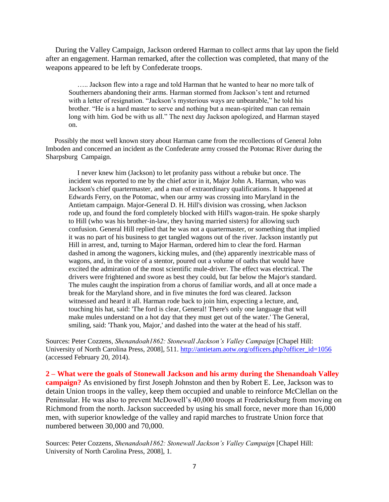During the Valley Campaign, Jackson ordered Harman to collect arms that lay upon the field after an engagement. Harman remarked, after the collection was completed, that many of the weapons appeared to be left by Confederate troops.

 ….. Jackson flew into a rage and told Harman that he wanted to hear no more talk of Southerners abandoning their arms. Harman stormed from Jackson's tent and returned with a letter of resignation. "Jackson's mysterious ways are unbearable," he told his brother. "He is a hard master to serve and nothing but a mean-spirited man can remain long with him. God be with us all." The next day Jackson apologized, and Harman stayed on.

 Possibly the most well known story about Harman came from the recollections of General John Imboden and concerned an incident as the Confederate army crossed the Potomac River during the Sharpsburg Campaign.

 I never knew him (Jackson) to let profanity pass without a rebuke but once. The incident was reported to me by the chief actor in it, Major John A. Harman, who was Jackson's chief quartermaster, and a man of extraordinary qualifications. It happened at Edwards Ferry, on the Potomac, when our army was crossing into Maryland in the Antietam campaign. Major-General D. H. Hill's division was crossing, when Jackson rode up, and found the ford completely blocked with Hill's wagon-train. He spoke sharply to Hill (who was his brother-in-law, they having married sisters) for allowing such confusion. General Hill replied that he was not a quartermaster, or something that implied it was no part of his business to get tangled wagons out of the river. Jackson instantly put Hill in arrest, and, turning to Major Harman, ordered him to clear the ford. Harman dashed in among the wagoners, kicking mules, and (the) apparently inextricable mass of wagons, and, in the voice of a stentor, poured out a volume of oaths that would have excited the admiration of the most scientific mule-driver. The effect was electrical. The drivers were frightened and swore as best they could, but far below the Major's standard. The mules caught the inspiration from a chorus of familiar words, and all at once made a break for the Maryland shore, and in five minutes the ford was cleared. Jackson witnessed and heard it all. Harman rode back to join him, expecting a lecture, and, touching his hat, said: 'The ford is clear, General! There's only one language that will make mules understand on a hot day that they must get out of the water.' The General, smiling, said: 'Thank you, Major,' and dashed into the water at the head of his staff.

Sources: Peter Cozzens, *Shenandoah1862: Stonewall Jackson's Valley Campaign* [Chapel Hill: University of North Carolina Press, 2008], 511. [http://antietam.aotw.org/officers.php?officer\\_id=1056](http://antietam.aotw.org/officers.php?officer_id=1056) (accessed February 20, 2014).

**2 – What were the goals of Stonewall Jackson and his army during the Shenandoah Valley campaign?** As envisioned by first Joseph Johnston and then by Robert E. Lee, Jackson was to detain Union troops in the valley, keep them occupied and unable to reinforce McClellan on the Peninsular. He was also to prevent McDowell's 40,000 troops at Fredericksburg from moving on Richmond from the north. Jackson succeeded by using his small force, never more than 16,000 men, with superior knowledge of the valley and rapid marches to frustrate Union force that numbered between 30,000 and 70,000.

Sources: Peter Cozzens, *Shenandoah1862: Stonewall Jackson's Valley Campaign* [Chapel Hill: University of North Carolina Press, 2008], 1.